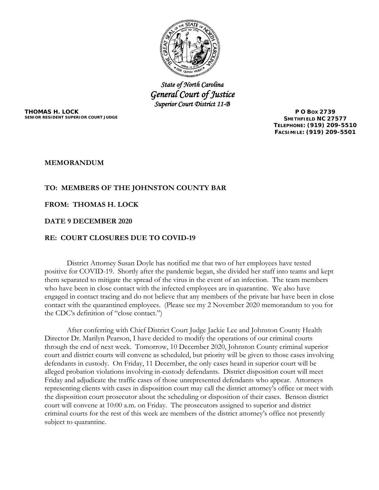

*State of North Carolina General Court of Justice Superior Court District 11-B* 

**THOMAS H. LOCK SENIOR RESIDENT SUPERIOR COURT JUDGE**

**P O BOX 2739 SMITHFIELD NC 27577 TELEPHONE: (919) 209-5510 FACSIMILE: (919) 209-5501**

### **MEMORANDUM**

# **TO: MEMBERS OF THE JOHNSTON COUNTY BAR**

### **FROM: THOMAS H. LOCK**

### **DATE 9 DECEMBER 2020**

## **RE: COURT CLOSURES DUE TO COVID-19**

District Attorney Susan Doyle has notified me that two of her employees have tested positive for COVID-19. Shortly after the pandemic began, she divided her staff into teams and kept them separated to mitigate the spread of the virus in the event of an infection. The team members who have been in close contact with the infected employees are in quarantine. We also have engaged in contact tracing and do not believe that any members of the private bar have been in close contact with the quarantined employees. (Please see my 2 November 2020 memorandum to you for the CDC's definition of "close contact.")

After conferring with Chief District Court Judge Jackie Lee and Johnston County Health Director Dr. Marilyn Pearson, I have decided to modify the operations of our criminal courts through the end of next week. Tomorrow, 10 December 2020, Johnston County criminal superior court and district courts will convene as scheduled, but priority will be given to those cases involving defendants in custody. On Friday, 11 December, the only cases heard in superior court will be alleged probation violations involving in-custody defendants. District disposition court will meet Friday and adjudicate the traffic cases of those unrepresented defendants who appear. Attorneys representing clients with cases in disposition court may call the district attorney's office or meet with the disposition court prosecutor about the scheduling or disposition of their cases. Benson district court will convene at 10:00 a.m. on Friday. The prosecutors assigned to superior and district criminal courts for the rest of this week are members of the district attorney's office not presently subject to quarantine.